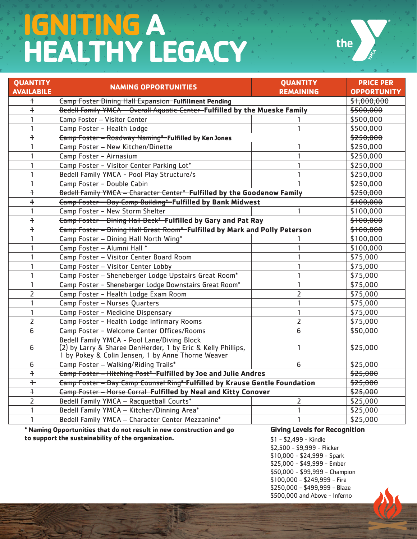# **IGNITING A HEALTHY LEGACY**



| <b>QUANTITY</b>   | <b>NAMING OPPORTUNITIES</b>                                                                                                                                       | <b>QUANTITY</b>  | <b>PRICE PER</b>     |
|-------------------|-------------------------------------------------------------------------------------------------------------------------------------------------------------------|------------------|----------------------|
| <b>AVAILABILE</b> |                                                                                                                                                                   | <b>REMAINING</b> | <b>OPPORTUNITY</b>   |
| $+$               | <b>Camp Foster Dining Hall Expansion-Fulfillment Pending</b>                                                                                                      |                  | \$1,000,000          |
| $\ddagger$        | Bedell Family YMCA - Overall Aquatic Center-Fulfilled by the Mueske Family                                                                                        |                  | <del>\$500,000</del> |
| $\mathbf{1}$      | Camp Foster - Visitor Center                                                                                                                                      |                  | \$500,000            |
| $\mathbf{1}$      | Camp Foster - Health Lodge                                                                                                                                        | 1                | \$500,000            |
| $\ddagger$        | <b>Camp Foster - Roadway Naming*-Fulfilled by Ken Jones</b>                                                                                                       |                  | \$250,000            |
| $\mathbf{1}$      | Camp Foster - New Kitchen/Dinette                                                                                                                                 | 1                | \$250,000            |
| 1                 | Camp Foster - Airnasium                                                                                                                                           | 1                | \$250,000            |
| $\mathbf{1}$      | Camp Foster - Visitor Center Parking Lot*                                                                                                                         | 1                | \$250,000            |
| $\mathbf{1}$      | Bedell Family YMCA - Pool Play Structure/s                                                                                                                        | 1                | \$250,000            |
| $\mathbf{1}$      | Camp Foster - Double Cabin                                                                                                                                        |                  | \$250,000            |
| $\ddagger$        | Bedell Family YMCA - Character Center*-Fulfilled by the Goodenow Family                                                                                           |                  | \$250,000            |
| $\ddagger$        | <b>Eamp Foster - Day Camp Building*</b> Fulfilled by Bank Midwest                                                                                                 |                  | \$100,000            |
| $\mathbf{1}$      | Camp Foster - New Storm Shelter                                                                                                                                   | 1                | \$100,000            |
| $\ddagger$        | Eamp Foster - Dining Hall Deck*-Fulfilled by Gary and Pat Ray                                                                                                     |                  | \$100,000            |
| $\ddot{+}$        | <b>Camp Foster - Dining Hall Great Room*-Fulfilled by Mark and Polly Peterson</b>                                                                                 |                  | \$100,000            |
| $\mathbf{1}$      | Camp Foster - Dining Hall North Wing*                                                                                                                             |                  | \$100,000            |
| $\mathbf{1}$      | Camp Foster - Alumni Hall *                                                                                                                                       |                  | \$100,000            |
| 1                 | Camp Foster - Visitor Center Board Room                                                                                                                           | 1                | \$75,000             |
| $\mathbf{1}$      | Camp Foster - Visitor Center Lobby                                                                                                                                | 1                | \$75,000             |
| $\mathbf{1}$      | Camp Foster - Sheneberger Lodge Upstairs Great Room*                                                                                                              | 1                | \$75,000             |
| $\mathbf{1}$      | Camp Foster - Sheneberger Lodge Downstairs Great Room*                                                                                                            | $\mathbf{1}$     | \$75,000             |
| $\overline{2}$    | Camp Foster - Health Lodge Exam Room                                                                                                                              | $\overline{2}$   | \$75,000             |
| $\mathbf{1}$      | Camp Foster - Nurses Quarters                                                                                                                                     | 1                | \$75,000             |
| $\mathbf{1}$      | Camp Foster - Medicine Dispensary                                                                                                                                 | $\mathbf{1}$     | \$75,000             |
| $\overline{2}$    | Camp Foster - Health Lodge Infirmary Rooms                                                                                                                        | $\overline{2}$   | \$75,000             |
| 6                 | Camp Foster - Welcome Center Offices/Rooms                                                                                                                        | 6                | \$50,000             |
| 6                 | Bedell Family YMCA - Pool Lane/Diving Block<br>(2) by Larry & Sharee DenHerder, 1 by Eric & Kelly Phillips,<br>1 by Pokey & Colin Jensen, 1 by Anne Thorne Weaver | 1                | \$25,000             |
| 6                 | Camp Foster - Walking/Riding Trails*                                                                                                                              | 6                | \$25,000             |
| $\ddagger$        | <b>Eamp Foster - Hitching Post*</b> Fulfilled by Joe and Julie Andres                                                                                             |                  | \$25,000             |
| $+$               | <b>Camp Foster - Day Camp Counsel Ring*-Fulfilled by Krause Gentle Foundation</b>                                                                                 |                  | \$25,000             |
| $+$               | <b>Camp Foster - Horse Corral - Fulfilled by Neal and Kitty Conover</b>                                                                                           |                  | \$25,000             |
| $\overline{2}$    | Bedell Family YMCA - Racquetball Courts*                                                                                                                          | $\overline{2}$   | \$25,000             |
| $\mathbf{1}$      | Bedell Family YMCA - Kitchen/Dinning Area*                                                                                                                        | 1                | \$25,000             |
| 1                 | Bedell Family YMCA - Character Center Mezzanine*                                                                                                                  | 1                | \$25,000             |

**\* Naming Opportunities that do not result in new construction and go to support the sustainability of the organization.** 

# **Giving Levels for Recognition**

\$1 - \$2,499 - Kindle \$2,500 - \$9,999 - Flicker \$10,000 - \$24,999 - Spark \$25,000 - \$49,999 - Ember \$50,000 - \$99,999 - Champion \$100,000 - \$249,999 - Fire \$250,000 - \$499,999 - Blaze \$500,000 and Above - Inferno